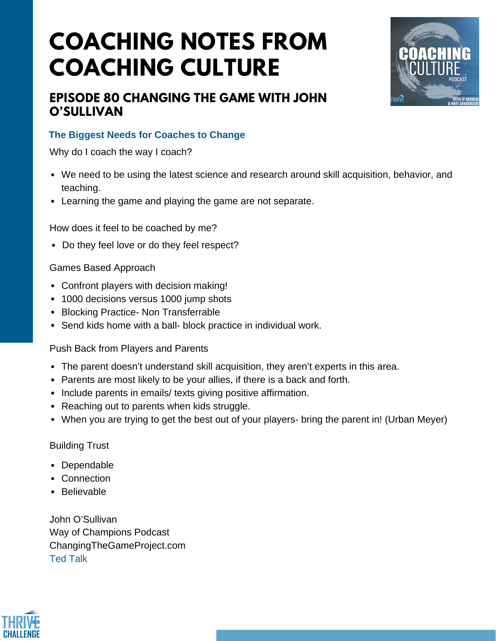# **COACHING NOTES FROM COACHING CULTURE**



### **EPISODE 80 CHANGING THE GAME WITH JOHN O'SULLIVAN**

### **The Biggest Needs for Coaches to Change**

Why do I coach the way I coach?

- We need to be using the latest science and research around skill acquisition, behavior, and teaching.
- Learning the game and playing the game are not separate.

How does it feel to be coached by me?

• Do they feel love or do they feel respect?

#### Games Based Approach

- Confront players with decision making!
- 1000 decisions versus 1000 jump shots
- Blocking Practice- Non Transferrable
- Send kids home with a ball- block practice in individual work.

Push Back from Players and Parents

- The parent doesn't understand skill acquisition, they aren't experts in this area.
- Parents are most likely to be your allies, if there is a back and forth.
- Include parents in emails/ texts giving positive affirmation.
- Reaching out to parents when kids struggle.
- When you are trying to get the best out of your players- bring the parent in! (Urban Meyer)

#### Building Trust

- Dependable
- Connection
- Believable

John O'Sullivan Way of Champions Podcast ChangingTheGameProject.com Ted [Talk](https://www.youtube.com/watch?v=VXw0XGOVQvw)